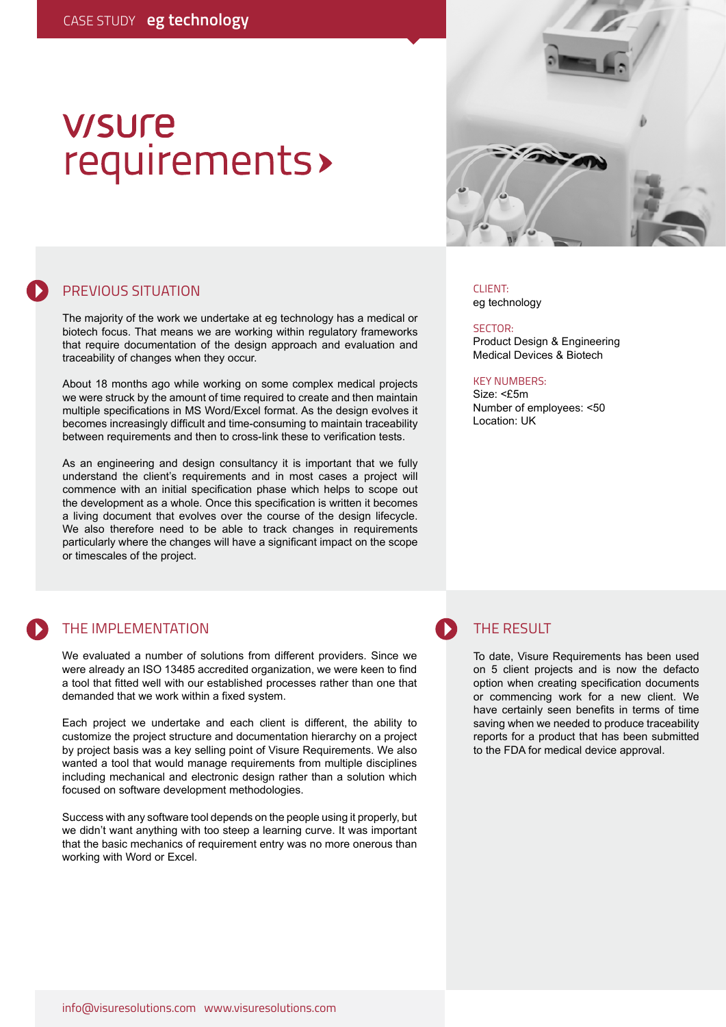# **V/SUre** requirements>



PREVIOUS SITUATION

The majority of the work we undertake at eg technology has a medical or biotech focus. That means we are working within regulatory frameworks that require documentation of the design approach and evaluation and traceability of changes when they occur.

About 18 months ago while working on some complex medical projects we were struck by the amount of time required to create and then maintain multiple specifications in MS Word/Excel format. As the design evolves it becomes increasingly difficult and time-consuming to maintain traceability between requirements and then to cross-link these to verification tests.

As an engineering and design consultancy it is important that we fully understand the client's requirements and in most cases a project will commence with an initial specification phase which helps to scope out the development as a whole. Once this specification is written it becomes a living document that evolves over the course of the design lifecycle. We also therefore need to be able to track changes in requirements particularly where the changes will have a significant impact on the scope or timescales of the project.

## THE IMPLEMENTATION

We evaluated a number of solutions from different providers. Since we were already an ISO 13485 accredited organization, we were keen to find a tool that fitted well with our established processes rather than one that demanded that we work within a fixed system.

Each project we undertake and each client is different, the ability to customize the project structure and documentation hierarchy on a project by project basis was a key selling point of Visure Requirements. We also wanted a tool that would manage requirements from multiple disciplines including mechanical and electronic design rather than a solution which focused on software development methodologies.

Success with any software tool depends on the people using it properly, but we didn't want anything with too steep a learning curve. It was important that the basic mechanics of requirement entry was no more onerous than working with Word or Excel.

CLIENT: eg technology

SECTOR: Product Design & Engineering Medical Devices & Biotech

### KEY NUMBERS:

Size: <£5m Number of employees: <50 Location: UK

### THE RESULT

To date, Visure Requirements has been used on 5 client projects and is now the defacto option when creating specification documents or commencing work for a new client. We have certainly seen benefits in terms of time saving when we needed to produce traceability reports for a product that has been submitted to the FDA for medical device approval.